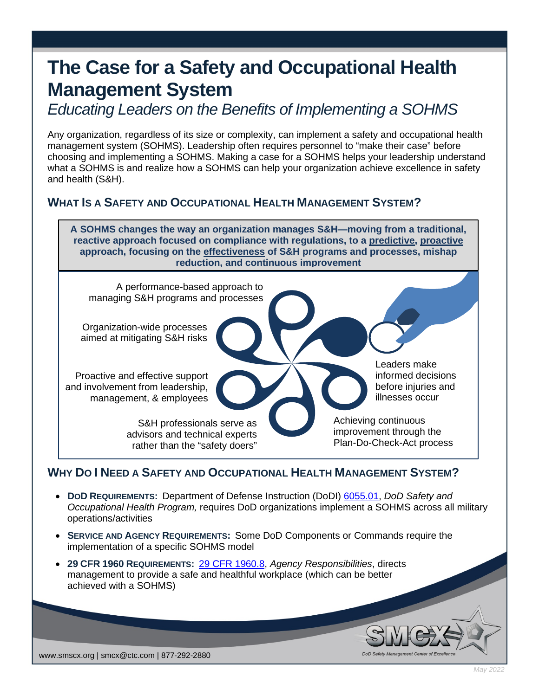## **The Case for a Safety and Occupational Health Management System**

*Educating Leaders on the Benefits of Implementing a SOHMS*

Any organization, regardless of its size or complexity, can implement a safety and occupational health management system (SOHMS). Leadership often requires personnel to "make their case" before choosing and implementing a SOHMS. Making a case for a SOHMS helps your leadership understand what a SOHMS is and realize how a SOHMS can help your organization achieve excellence in safety and health (S&H).

## **WHAT IS A SAFETY AND OCCUPATIONAL HEALTH MANAGEMENT SYSTEM?**

**A SOHMS changes the way an organization manages S&H—moving from a traditional, reactive approach focused on compliance with regulations, to a predictive, proactive approach, focusing on the effectiveness of S&H programs and processes, mishap reduction, and continuous improvement**



## **WHY DO I NEED A SAFETY AND OCCUPATIONAL HEALTH MANAGEMENT SYSTEM?**

- **DOD REQUIREMENTS:** Department of Defense Instruction (DoDI) [6055.01,](https://www.esd.whs.mil/Portals/54/Documents/DD/issuances/dodi/605501p.pdf) *DoD Safety and Occupational Health Program,* requires DoD organizations implement a SOHMS across all military operations/activities
- **SERVICE AND AGENCY REQUIREMENTS:** Some DoD Components or Commands require the implementation of a specific SOHMS model
- **29 CFR 1960 REQUIREMENTS:** [29 CFR 1960.8,](https://www.osha.gov/laws-regs/regulations/standardnumber/1960/1960.8) *Agency Responsibilities*, directs management to provide a safe and healthful workplace (which can be better achieved with a SOHMS)

www.smscx.org | smcx@ctc.com | 877-292-2880